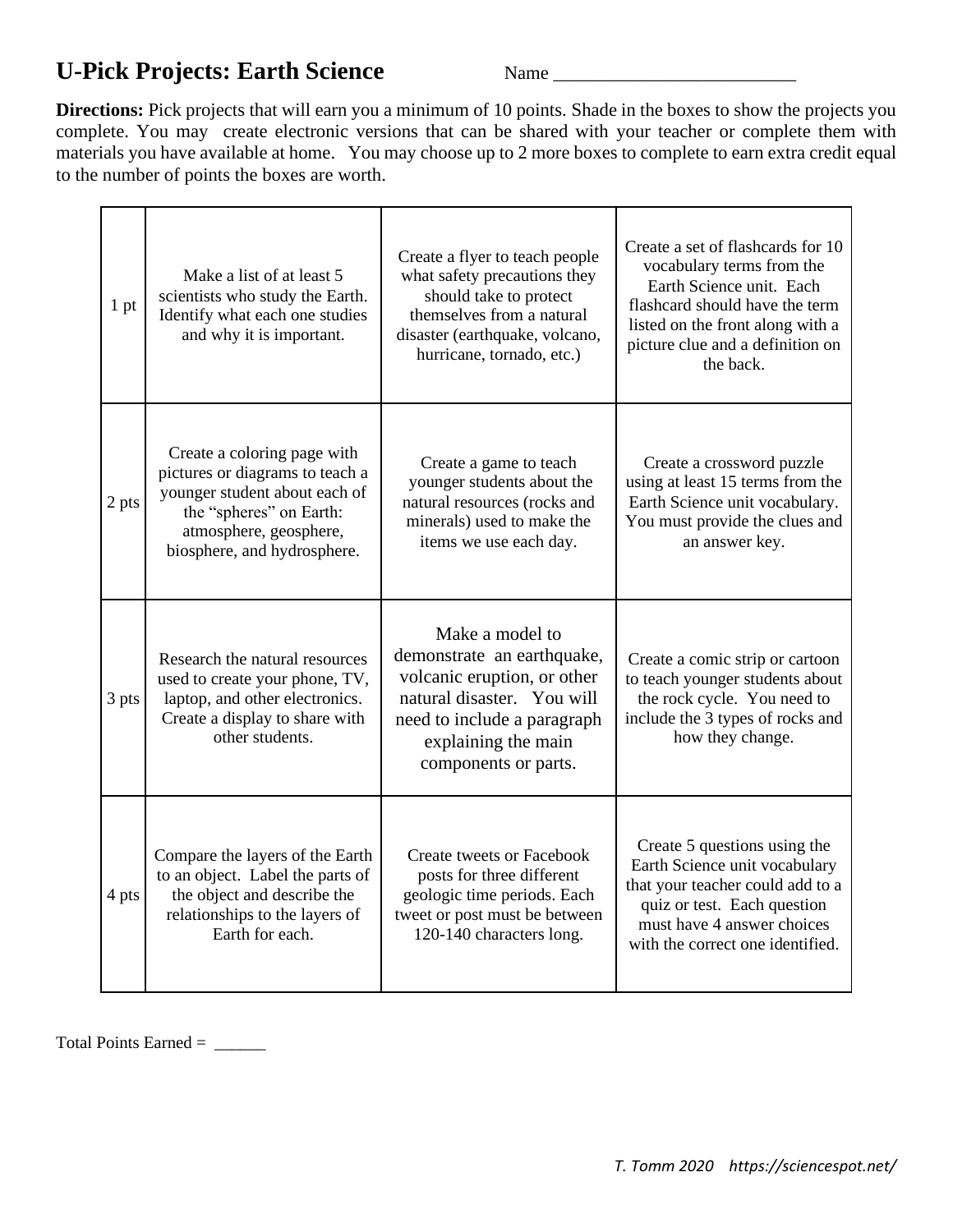## **U-Pick Projects: Earth Science** Name \_\_\_\_\_\_\_\_\_\_\_\_\_\_\_\_\_\_\_\_\_\_\_\_\_\_

**Directions:** Pick projects that will earn you a minimum of 10 points. Shade in the boxes to show the projects you complete. You may create electronic versions that can be shared with your teacher or complete them with materials you have available at home. You may choose up to 2 more boxes to complete to earn extra credit equal to the number of points the boxes are worth.

| 1 pt  | Make a list of at least 5<br>scientists who study the Earth.<br>Identify what each one studies<br>and why it is important.                                                          | Create a flyer to teach people<br>what safety precautions they<br>should take to protect<br>themselves from a natural<br>disaster (earthquake, volcano,<br>hurricane, tornado, etc.)     | Create a set of flashcards for 10<br>vocabulary terms from the<br>Earth Science unit. Each<br>flashcard should have the term<br>listed on the front along with a<br>picture clue and a definition on<br>the back. |
|-------|-------------------------------------------------------------------------------------------------------------------------------------------------------------------------------------|------------------------------------------------------------------------------------------------------------------------------------------------------------------------------------------|-------------------------------------------------------------------------------------------------------------------------------------------------------------------------------------------------------------------|
| 2 pts | Create a coloring page with<br>pictures or diagrams to teach a<br>younger student about each of<br>the "spheres" on Earth:<br>atmosphere, geosphere,<br>biosphere, and hydrosphere. | Create a game to teach<br>younger students about the<br>natural resources (rocks and<br>minerals) used to make the<br>items we use each day.                                             | Create a crossword puzzle<br>using at least 15 terms from the<br>Earth Science unit vocabulary.<br>You must provide the clues and<br>an answer key.                                                               |
| 3 pts | Research the natural resources<br>used to create your phone, TV,<br>laptop, and other electronics.<br>Create a display to share with<br>other students.                             | Make a model to<br>demonstrate an earthquake,<br>volcanic eruption, or other<br>natural disaster. You will<br>need to include a paragraph<br>explaining the main<br>components or parts. | Create a comic strip or cartoon<br>to teach younger students about<br>the rock cycle. You need to<br>include the 3 types of rocks and<br>how they change.                                                         |
| 4 pts | Compare the layers of the Earth<br>to an object. Label the parts of<br>the object and describe the<br>relationships to the layers of<br>Earth for each.                             | <b>Create tweets or Facebook</b><br>posts for three different<br>geologic time periods. Each<br>tweet or post must be between<br>120-140 characters long.                                | Create 5 questions using the<br>Earth Science unit vocabulary<br>that your teacher could add to a<br>quiz or test. Each question<br>must have 4 answer choices<br>with the correct one identified.                |

Total Points Earned = \_\_\_\_\_\_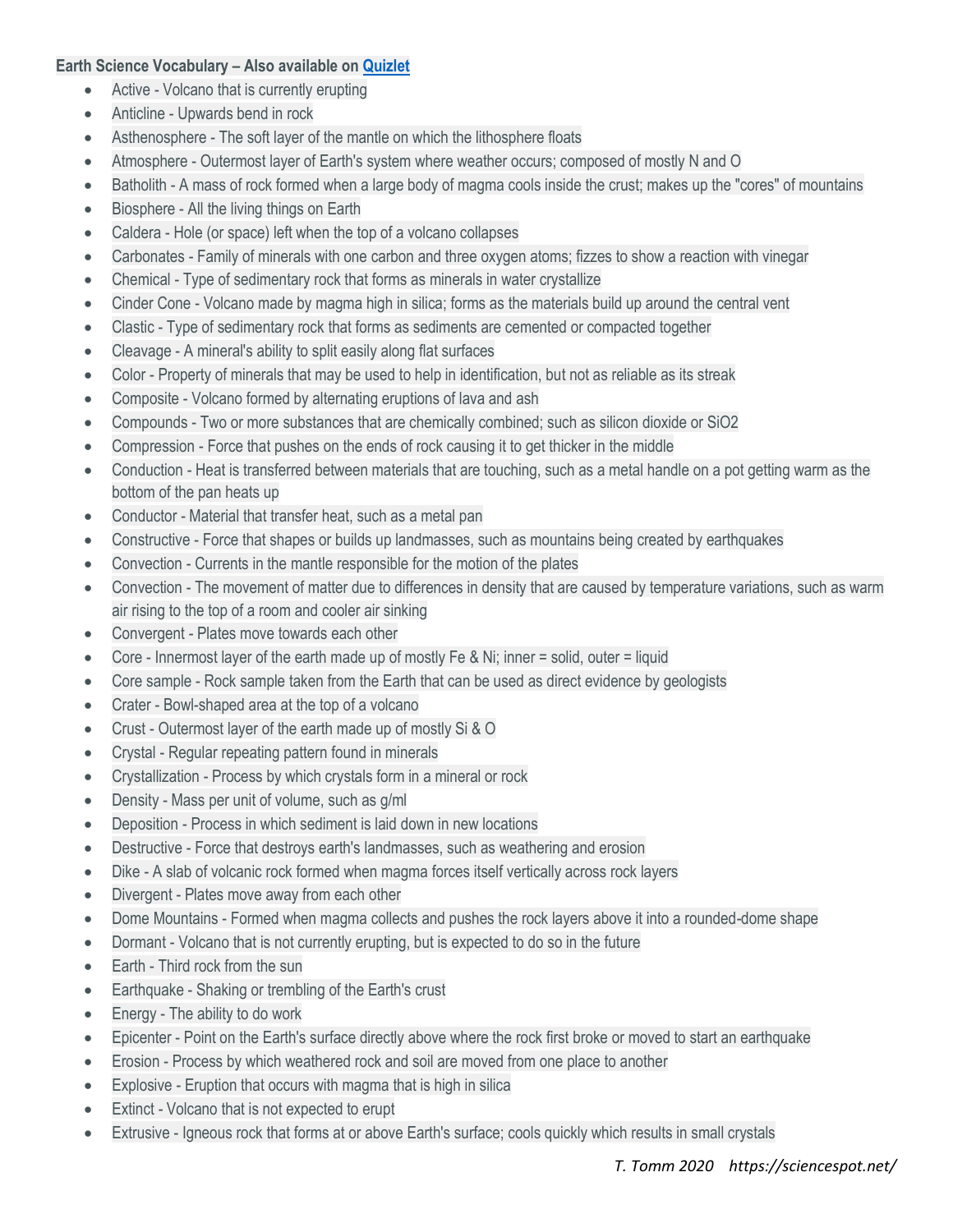## **Earth Science Vocabulary – Also available on [Quizlet](https://quizlet.com/132375744/earth-science-unit-vocabulary-all-units-flash-cards/)**

- Active Volcano that is currently erupting
- Anticline Upwards bend in rock
- Asthenosphere The soft layer of the mantle on which the lithosphere floats
- Atmosphere Outermost layer of Earth's system where weather occurs; composed of mostly N and O
- Batholith A mass of rock formed when a large body of magma cools inside the crust; makes up the "cores" of mountains
- Biosphere All the living things on Earth
- Caldera Hole (or space) left when the top of a volcano collapses
- Carbonates Family of minerals with one carbon and three oxygen atoms; fizzes to show a reaction with vinegar
- Chemical Type of sedimentary rock that forms as minerals in water crystallize
- Cinder Cone Volcano made by magma high in silica; forms as the materials build up around the central vent
- Clastic Type of sedimentary rock that forms as sediments are cemented or compacted together
- Cleavage A mineral's ability to split easily along flat surfaces
- Color Property of minerals that may be used to help in identification, but not as reliable as its streak
- Composite Volcano formed by alternating eruptions of lava and ash
- Compounds Two or more substances that are chemically combined; such as silicon dioxide or SiO2
- Compression Force that pushes on the ends of rock causing it to get thicker in the middle
- Conduction Heat is transferred between materials that are touching, such as a metal handle on a pot getting warm as the bottom of the pan heats up
- Conductor Material that transfer heat, such as a metal pan
- Constructive Force that shapes or builds up landmasses, such as mountains being created by earthquakes
- Convection Currents in the mantle responsible for the motion of the plates
- Convection The movement of matter due to differences in density that are caused by temperature variations, such as warm air rising to the top of a room and cooler air sinking
- Convergent Plates move towards each other
- Core Innermost layer of the earth made up of mostly Fe & Ni; inner = solid, outer = liquid
- Core sample Rock sample taken from the Earth that can be used as direct evidence by geologists
- Crater Bowl-shaped area at the top of a volcano
- Crust Outermost layer of the earth made up of mostly Si & O
- Crystal Regular repeating pattern found in minerals
- Crystallization Process by which crystals form in a mineral or rock
- Density Mass per unit of volume, such as g/ml
- Deposition Process in which sediment is laid down in new locations
- Destructive Force that destroys earth's landmasses, such as weathering and erosion
- Dike A slab of volcanic rock formed when magma forces itself vertically across rock layers
- Divergent Plates move away from each other
- Dome Mountains Formed when magma collects and pushes the rock layers above it into a rounded-dome shape
- Dormant Volcano that is not currently erupting, but is expected to do so in the future
- Earth Third rock from the sun
- Earthquake Shaking or trembling of the Earth's crust
- Energy The ability to do work
- Epicenter Point on the Earth's surface directly above where the rock first broke or moved to start an earthquake
- Erosion Process by which weathered rock and soil are moved from one place to another
- Explosive Eruption that occurs with magma that is high in silica
- Extinct Volcano that is not expected to erupt
- Extrusive Igneous rock that forms at or above Earth's surface; cools quickly which results in small crystals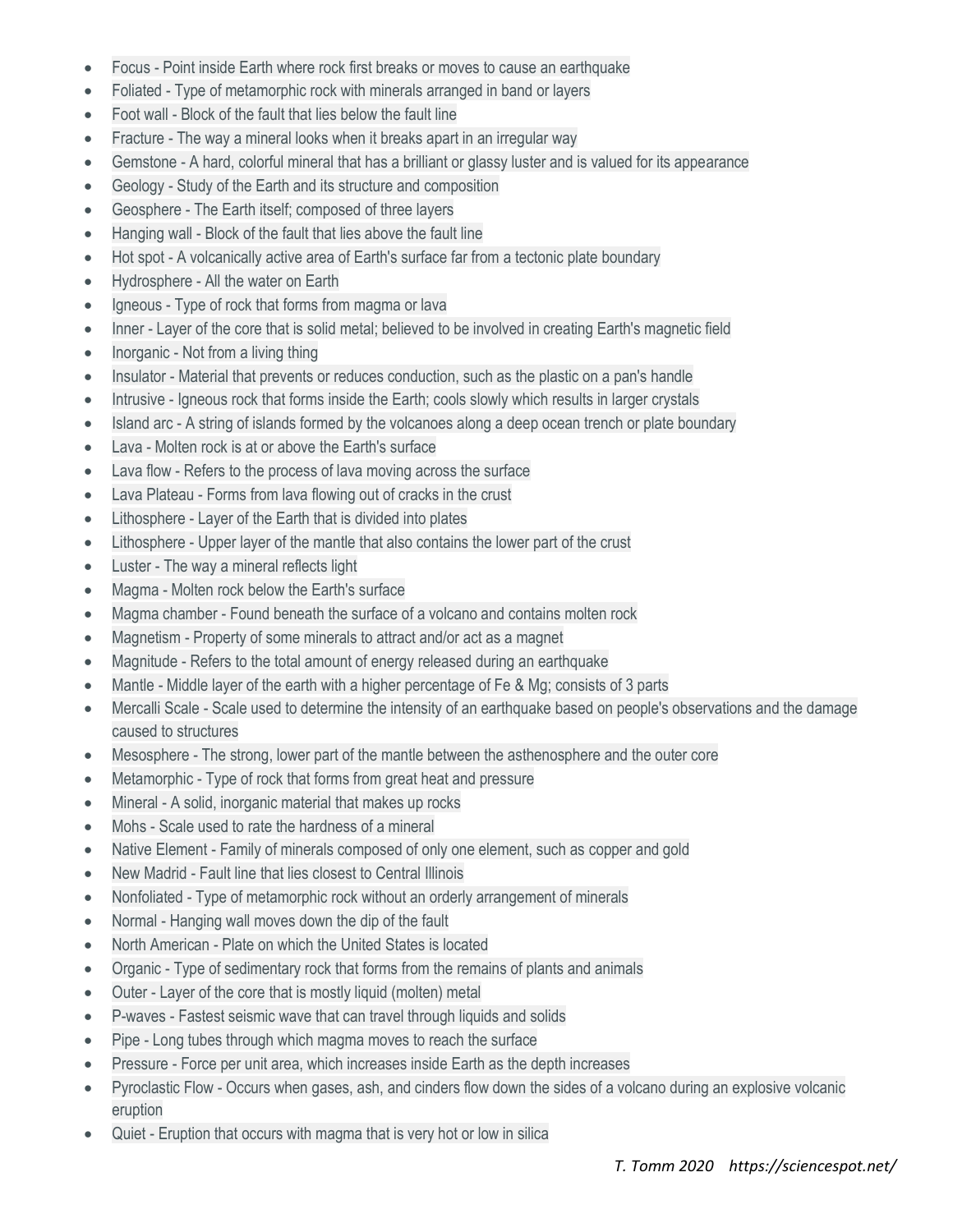- Focus Point inside Earth where rock first breaks or moves to cause an earthquake
- Foliated Type of metamorphic rock with minerals arranged in band or layers
- Foot wall Block of the fault that lies below the fault line
- Fracture The way a mineral looks when it breaks apart in an irregular way
- Gemstone A hard, colorful mineral that has a brilliant or glassy luster and is valued for its appearance
- Geology Study of the Earth and its structure and composition
- Geosphere The Earth itself; composed of three layers
- Hanging wall Block of the fault that lies above the fault line
- Hot spot A volcanically active area of Earth's surface far from a tectonic plate boundary
- Hydrosphere All the water on Earth
- Igneous Type of rock that forms from magma or lava
- Inner Layer of the core that is solid metal; believed to be involved in creating Earth's magnetic field
- Inorganic Not from a living thing
- Insulator Material that prevents or reduces conduction, such as the plastic on a pan's handle
- Intrusive Igneous rock that forms inside the Earth; cools slowly which results in larger crystals
- Island arc A string of islands formed by the volcanoes along a deep ocean trench or plate boundary
- Lava Molten rock is at or above the Earth's surface
- Lava flow Refers to the process of lava moving across the surface
- Lava Plateau Forms from lava flowing out of cracks in the crust
- Lithosphere Layer of the Earth that is divided into plates
- Lithosphere Upper layer of the mantle that also contains the lower part of the crust
- Luster The way a mineral reflects light
- Magma Molten rock below the Earth's surface
- Magma chamber Found beneath the surface of a volcano and contains molten rock
- Magnetism Property of some minerals to attract and/or act as a magnet
- Magnitude Refers to the total amount of energy released during an earthquake
- Mantle Middle layer of the earth with a higher percentage of Fe & Mg; consists of 3 parts
- Mercalli Scale Scale used to determine the intensity of an earthquake based on people's observations and the damage caused to structures
- Mesosphere The strong, lower part of the mantle between the asthenosphere and the outer core
- Metamorphic Type of rock that forms from great heat and pressure
- Mineral A solid, inorganic material that makes up rocks
- Mohs Scale used to rate the hardness of a mineral
- Native Element Family of minerals composed of only one element, such as copper and gold
- New Madrid Fault line that lies closest to Central Illinois
- Nonfoliated Type of metamorphic rock without an orderly arrangement of minerals
- Normal Hanging wall moves down the dip of the fault
- North American Plate on which the United States is located
- Organic Type of sedimentary rock that forms from the remains of plants and animals
- Outer Layer of the core that is mostly liquid (molten) metal
- P-waves Fastest seismic wave that can travel through liquids and solids
- Pipe Long tubes through which magma moves to reach the surface
- Pressure Force per unit area, which increases inside Earth as the depth increases
- Pyroclastic Flow Occurs when gases, ash, and cinders flow down the sides of a volcano during an explosive volcanic eruption
- Quiet Eruption that occurs with magma that is very hot or low in silica